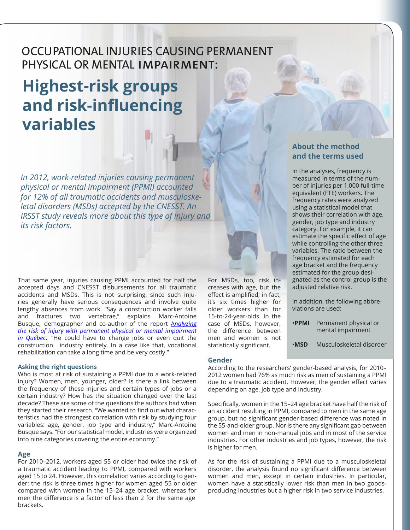# OCCUPATIONAL INJURIES CAUSING PERMANENT PHYSICAL OR MENTAL impairment:

# **Highest-risk groups and risk-influencing variables**

*In 2012, work-related injuries causing permanent physical or mental impairment (PPMI) accounted for 12% of all traumatic accidents and musculoskeletal disorders (MSDs) accepted by the CNESST. An IRSST study reveals more about this type of injury and its risk factors.*

That same year, injuries causing PPMI accounted for half the accepted days and CNESST disbursements for all traumatic accidents and MSDs. This is not surprising, since such injuries generally have serious consequences and involve quite lengthy absences from work. "Say a construction worker falls and fractures two vertebrae," explains Marc-Antoine Busque, demographer and co-author of the report A*[nalyzing](http://www.irsst.qc.ca/en/publications-tools/publication/i/100943)  [the risk of injury with permanent physical or mental impairment](http://www.irsst.qc.ca/en/publications-tools/publication/i/100943)  [in Québec](http://www.irsst.qc.ca/en/publications-tools/publication/i/100943)*. "He could have to change jobs or even quit the construction industry entirely. In a case like that, vocational rehabilitation can take a long time and be very costly."

#### **Asking the right questions**

Who is most at risk of sustaining a PPMI due to a work-related injury? Women, men, younger, older? Is there a link between the frequency of these injuries and certain types of jobs or a certain industry? How has the situation changed over the last decade? These are some of the questions the authors had when they started their research. "We wanted to find out what characteristics had the strongest correlation with risk by studying four variables: age, gender, job type and industry," Marc-Antoine Busque says. "For our statistical model, industries were organized into nine categories covering the entire economy."

#### **Age**

For 2010–2012, workers aged 55 or older had twice the risk of a traumatic accident leading to PPMI, compared with workers aged 15 to 24. However, this correlation varies according to gender: the risk is three times higher for women aged 55 or older compared with women in the 15–24 age bracket, whereas for men the difference is a factor of less than 2 for the same age brackets.

For MSDs, too, risk increases with age, but the effect is amplified; in fact, it's six times higher for older workers than for 15-to-24-year-olds. In the case of MSDs, however, the difference between men and women is not statistically significant.

#### **Gender**

**About the method and the terms used**

In the analyses, frequency is measured in terms of the number of injuries per 1,000 full-time equivalent (FTE) workers. The frequency rates were analyzed using a statistical model that shows their correlation with age, gender, job type and industry category. For example, it can estimate the specific effect of age while controlling the other three variables. The ratio between the frequency estimated for each age bracket and the frequency estimated for the group designated as the control group is the adjusted relative risk.

In addition, the following abbreviations are used:

- •**PPMI** Permanent physical or mental impairment
- **•MSD** Musculoskeletal disorder

According to the researchers' gender-based analysis, for 2010– 2012 women had 76% as much risk as men of sustaining a PPMI due to a traumatic accident. However, the gender effect varies depending on age, job type and industry.

Specifically, women in the 15–24 age bracket have half the risk of an accident resulting in PPMI, compared to men in the same age group, but no significant gender-based difference was noted in the 55-and-older group. Nor is there any significant gap between women and men in non-manual jobs and in most of the service industries. For other industries and job types, however, the risk is higher for men.

As for the risk of sustaining a PPMI due to a musculoskeletal disorder, the analysis found no significant difference between women and men, except in certain industries. In particular, women have a statistically lower risk than men in two goodsproducing industries but a higher risk in two service industries.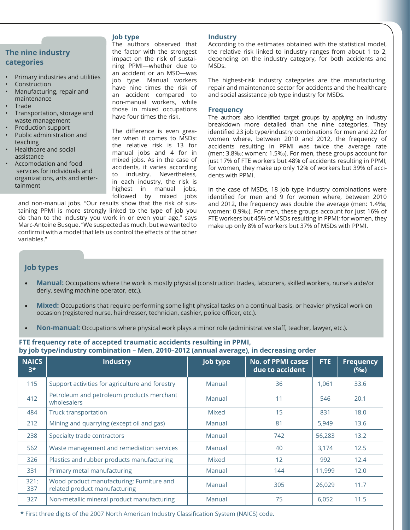# **The nine industry categories**

- Primary industries and utilities
- **Construction**
- Manufacturing, repair and maintenance
- **Trade**
- Transportation, storage and waste management
- Production support
- Public administration and teaching
- Healthcare and social assistance
- Accomodation and food services for individuals and organizations, arts and entertainment

### **Job type**

The authors observed that the factor with the strongest impact on the risk of sustaining PPMI—whether due to an accident or an MSD—was job type. Manual workers have nine times the risk of an accident compared to non-manual workers, while those in mixed occupations have four times the risk.

The difference is even greater when it comes to MSDs: the relative risk is 13 for manual jobs and 4 for in mixed jobs. As in the case of accidents, it varies according to industry. Nevertheless, in each industry, the risk is highest in manual jobs, followed by mixed jobs

and non-manual jobs. "Our results show that the risk of sustaining PPMI is more strongly linked to the type of job you do than to the industry you work in or even your age," says Marc-Antoine Busque. "We suspected as much, but we wanted to confirm it with a model that lets us control the effects of the other variables."

#### **Industry**

According to the estimates obtained with the statistical model, the relative risk linked to industry ranges from about 1 to 2, depending on the industry category, for both accidents and MSDs.

The highest-risk industry categories are the manufacturing, repair and maintenance sector for accidents and the healthcare and social assistance job type industry for MSDs.

#### **Frequency**

The authors also identified target groups by applying an industry breakdown more detailed than the nine categories. They identified 23 job type/industry combinations for men and 22 for women where, between 2010 and 2012, the frequency of accidents resulting in PPMI was twice the average rate (men: 3.8‰; women: 1.5‰). For men, these groups account for just 17% of FTE workers but 48% of accidents resulting in PPMI; for women, they make up only 12% of workers but 39% of accidents with PPMI.

In the case of MSDs, 18 job type industry combinations were identified for men and 9 for women where, between 2010 and 2012, the frequency was double the average (men: 1.4‰; women: 0.9‰). For men, these groups account for just 16% of FTE workers but 45% of MSDs resulting in PPMI; for women, they make up only 8% of workers but 37% of MSDs with PPMI.

# **Job types**

- **Manual:** Occupations where the work is mostly physical (construction trades, labourers, skilled workers, nurse's aide/or derly, sewing machine operator, etc.).
- **Mixed:** Occupations that require performing some light physical tasks on a continual basis, or heavier physical work on occasion (registered nurse, hairdresser, technician, cashier, police officer, etc.).
- **Non-manual:** Occupations where physical work plays a minor role (administrative staff, teacher, lawyer, etc.).

## **FTE frequency rate of accepted traumatic accidents resulting in PPMI, by job type/industry combination – Men, 2010–2012 (annual average), in decreasing order**

| <b>NAICS</b><br>$3*$ | <b>Industry</b>                                                            | <b>Job type</b> | <b>No. of PPMI cases</b><br>due to accident | FTE.   | <b>Frequency</b><br>(960) |
|----------------------|----------------------------------------------------------------------------|-----------------|---------------------------------------------|--------|---------------------------|
| 115                  | Support activities for agriculture and forestry                            | Manual          | 36                                          | 1,061  | 33.6                      |
| 412                  | Petroleum and petroleum products merchant<br>wholesalers                   | Manual          | 11                                          | 546    | 20.1                      |
| 484                  | <b>Truck transportation</b>                                                | Mixed           | 15                                          | 831    | 18.0                      |
| 212                  | Mining and quarrying (except oil and gas)                                  | Manual          | 81                                          | 5,949  | 13.6                      |
| 238                  | Specialty trade contractors                                                | Manual          | 742                                         | 56,283 | 13.2                      |
| 562                  | Waste management and remediation services                                  | Manual          | 40                                          | 3,174  | 12.5                      |
| 326                  | Plastics and rubber products manufacturing                                 | Mixed           | 12                                          | 992    | 12.4                      |
| 331                  | Primary metal manufacturing                                                | Manual          | 144                                         | 11,999 | 12.0                      |
| 321;<br>337          | Wood product manufacturing; Furniture and<br>related product manufacturing | Manual          | 305                                         | 26,029 | 11.7                      |
| 327                  | Non-metallic mineral product manufacturing                                 | Manual          | 75                                          | 6,052  | 11.5                      |

\* First three digits of the 2007 North American Industry Classification System (NAICS) code.